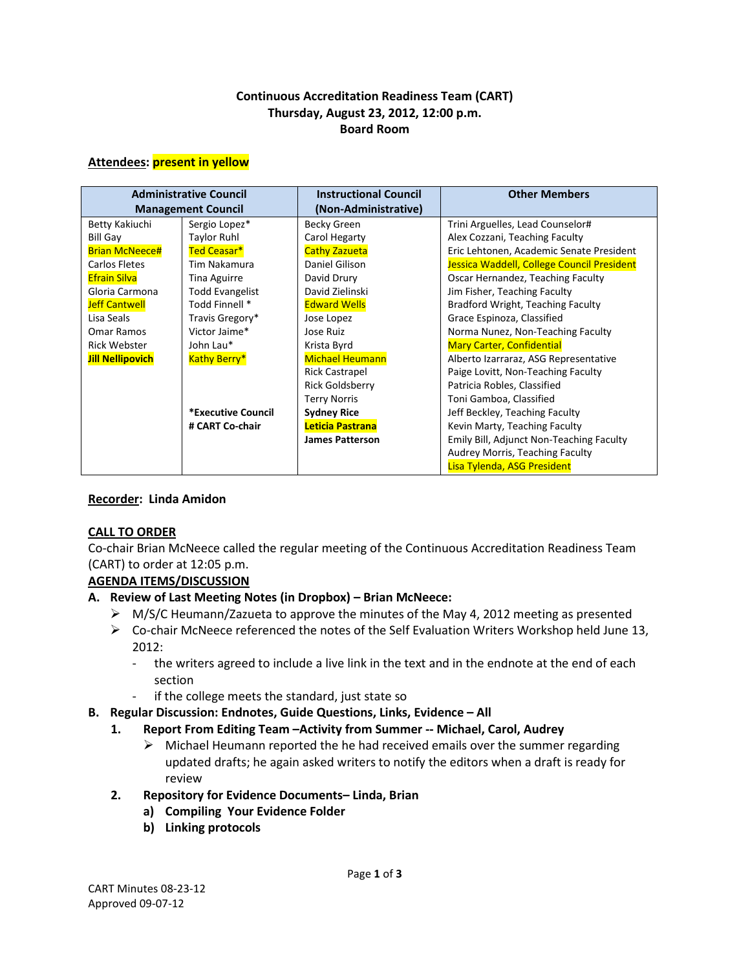### **Continuous Accreditation Readiness Team (CART) Thursday, August 23, 2012, 12:00 p.m. Board Room**

#### **Attendees: present in yellow**

| <b>Administrative Council</b><br><b>Management Council</b> |                        | <b>Instructional Council</b><br>(Non-Administrative) | <b>Other Members</b>                       |
|------------------------------------------------------------|------------------------|------------------------------------------------------|--------------------------------------------|
| Betty Kakiuchi                                             | Sergio Lopez*          | <b>Becky Green</b>                                   | Trini Arguelles, Lead Counselor#           |
| <b>Bill Gay</b>                                            | <b>Taylor Ruhl</b>     | Carol Hegarty                                        | Alex Cozzani, Teaching Faculty             |
| <b>Brian McNeece#</b>                                      | Ted Ceasar*            | <b>Cathy Zazueta</b>                                 | Eric Lehtonen, Academic Senate President   |
| Carlos Fletes                                              | Tim Nakamura           | Daniel Gilison                                       | Jessica Waddell, College Council President |
| <b>Efrain Silva</b>                                        | Tina Aguirre           | David Drury                                          | Oscar Hernandez, Teaching Faculty          |
| Gloria Carmona                                             | <b>Todd Evangelist</b> | David Zielinski                                      | Jim Fisher, Teaching Faculty               |
| <b>Jeff Cantwell</b>                                       | Todd Finnell *         | <b>Edward Wells</b>                                  | Bradford Wright, Teaching Faculty          |
| Lisa Seals                                                 | Travis Gregory*        | Jose Lopez                                           | Grace Espinoza, Classified                 |
| Omar Ramos                                                 | Victor Jaime*          | Jose Ruiz                                            | Norma Nunez, Non-Teaching Faculty          |
| <b>Rick Webster</b>                                        | John Lau*              | Krista Byrd                                          | <b>Mary Carter, Confidential</b>           |
| <b>Jill Nellipovich</b>                                    | <b>Kathy Berry*</b>    | <b>Michael Heumann</b>                               | Alberto Izarraraz, ASG Representative      |
|                                                            |                        | <b>Rick Castrapel</b>                                | Paige Lovitt, Non-Teaching Faculty         |
|                                                            |                        | <b>Rick Goldsberry</b>                               | Patricia Robles, Classified                |
|                                                            |                        | <b>Terry Norris</b>                                  | Toni Gamboa, Classified                    |
|                                                            | *Executive Council     | <b>Sydney Rice</b>                                   | Jeff Beckley, Teaching Faculty             |
|                                                            | # CART Co-chair        | Leticia Pastrana                                     | Kevin Marty, Teaching Faculty              |
|                                                            |                        | <b>James Patterson</b>                               | Emily Bill, Adjunct Non-Teaching Faculty   |
|                                                            |                        |                                                      | Audrey Morris, Teaching Faculty            |
|                                                            |                        |                                                      | Lisa Tylenda, ASG President                |

### **Recorder: Linda Amidon**

### **CALL TO ORDER**

Co-chair Brian McNeece called the regular meeting of the Continuous Accreditation Readiness Team (CART) to order at 12:05 p.m.

### **AGENDA ITEMS/DISCUSSION**

### **A. Review of Last Meeting Notes (in Dropbox) – Brian McNeece:**

- $\triangleright$  M/S/C Heumann/Zazueta to approve the minutes of the May 4, 2012 meeting as presented
- $\triangleright$  Co-chair McNeece referenced the notes of the Self Evaluation Writers Workshop held June 13, 2012:
	- the writers agreed to include a live link in the text and in the endnote at the end of each section
	- if the college meets the standard, just state so
- **B. Regular Discussion: Endnotes, Guide Questions, Links, Evidence – All** 
	- **1. Report From Editing Team –Activity from Summer -- Michael, Carol, Audrey**
		- $\triangleright$  Michael Heumann reported the he had received emails over the summer regarding updated drafts; he again asked writers to notify the editors when a draft is ready for review
	- **2. Repository for Evidence Documents– Linda, Brian**
		- **a) Compiling Your Evidence Folder**
		- **b) Linking protocols**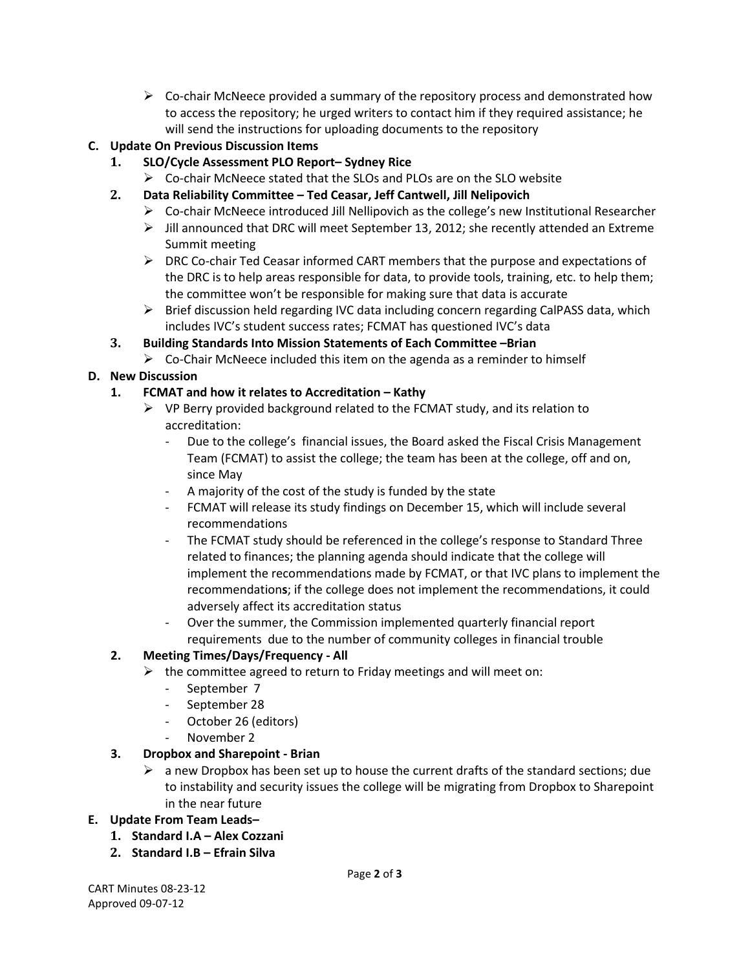$\triangleright$  Co-chair McNeece provided a summary of the repository process and demonstrated how to access the repository; he urged writers to contact him if they required assistance; he will send the instructions for uploading documents to the repository

# **C. Update On Previous Discussion Items**

- **1. SLO/Cycle Assessment PLO Report– Sydney Rice**
	- $\triangleright$  Co-chair McNeece stated that the SLOs and PLOs are on the SLO website
- **2. Data Reliability Committee – Ted Ceasar, Jeff Cantwell, Jill Nelipovich**
	- $\triangleright$  Co-chair McNeece introduced Jill Nellipovich as the college's new Institutional Researcher
	- $\triangleright$  Jill announced that DRC will meet September 13, 2012; she recently attended an Extreme Summit meeting
	- $\triangleright$  DRC Co-chair Ted Ceasar informed CART members that the purpose and expectations of the DRC is to help areas responsible for data, to provide tools, training, etc. to help them; the committee won't be responsible for making sure that data is accurate
	- $\triangleright$  Brief discussion held regarding IVC data including concern regarding CalPASS data, which includes IVC's student success rates; FCMAT has questioned IVC's data

## **3. Building Standards Into Mission Statements of Each Committee –Brian**

 $\triangleright$  Co-Chair McNeece included this item on the agenda as a reminder to himself

## **D. New Discussion**

## **1. FCMAT and how it relates to Accreditation – Kathy**

- $\triangleright$  VP Berry provided background related to the FCMAT study, and its relation to accreditation:
	- Due to the college's financial issues, the Board asked the Fiscal Crisis Management Team (FCMAT) to assist the college; the team has been at the college, off and on, since May
	- A majority of the cost of the study is funded by the state
	- FCMAT will release its study findings on December 15, which will include several recommendations
	- The FCMAT study should be referenced in the college's response to Standard Three related to finances; the planning agenda should indicate that the college will implement the recommendations made by FCMAT, or that IVC plans to implement the recommendation**s**; if the college does not implement the recommendations, it could adversely affect its accreditation status
	- Over the summer, the Commission implemented quarterly financial report requirements due to the number of community colleges in financial trouble

### **2. Meeting Times/Days/Frequency - All**

- $\triangleright$  the committee agreed to return to Friday meetings and will meet on:
	- September 7
		- September 28
	- October 26 (editors)
	- November 2

### **3. Dropbox and Sharepoint - Brian**

 $\triangleright$  a new Dropbox has been set up to house the current drafts of the standard sections; due to instability and security issues the college will be migrating from Dropbox to Sharepoint in the near future

### **E. Update From Team Leads–**

- **1. Standard I.A – Alex Cozzani**
- **2. Standard I.B – Efrain Silva**